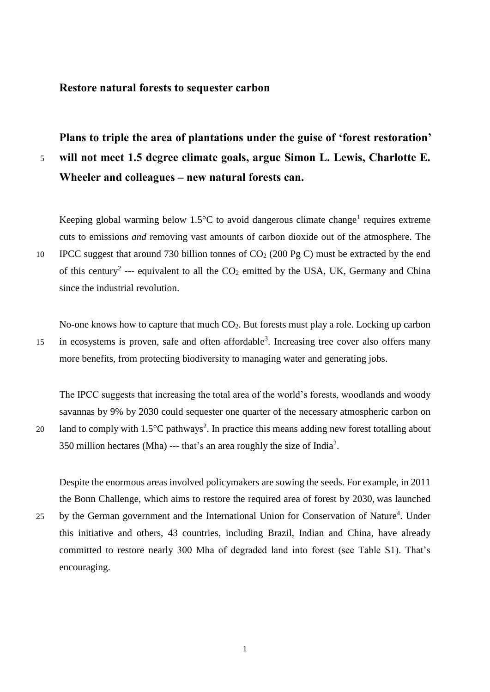## **Restore natural forests to sequester carbon**

**Plans to triple the area of plantations under the guise of 'forest restoration'**  5 **will not meet 1.5 degree climate goals, argue Simon L. Lewis, Charlotte E. Wheeler and colleagues – new natural forests can.**

Keeping global warming below  $1.5^{\circ}$ C to avoid dangerous climate change<sup>1</sup> requires extreme cuts to emissions *and* removing vast amounts of carbon dioxide out of the atmosphere. The 10 IPCC suggest that around 730 billion tonnes of  $CO<sub>2</sub>$  (200 Pg C) must be extracted by the end of this century<sup>2</sup> --- equivalent to all the  $CO<sub>2</sub>$  emitted by the USA, UK, Germany and China since the industrial revolution.

No-one knows how to capture that much CO2. But forests must play a role. Locking up carbon 15 in ecosystems is proven, safe and often affordable<sup>3</sup>. Increasing tree cover also offers many more benefits, from protecting biodiversity to managing water and generating jobs.

The IPCC suggests that increasing the total area of the world's forests, woodlands and woody savannas by 9% by 2030 could sequester one quarter of the necessary atmospheric carbon on 20 land to comply with  $1.5^{\circ}$ C pathways<sup>2</sup>. In practice this means adding new forest totalling about 350 million hectares (Mha) --- that's an area roughly the size of India<sup>2</sup>.

Despite the enormous areas involved policymakers are sowing the seeds. For example, in 2011 the Bonn Challenge, which aims to restore the required area of forest by 2030, was launched

25 by the German government and the International Union for Conservation of Nature<sup>4</sup>. Under this initiative and others, 43 countries, including Brazil, Indian and China, have already committed to restore nearly 300 Mha of degraded land into forest (see Table S1). That's encouraging.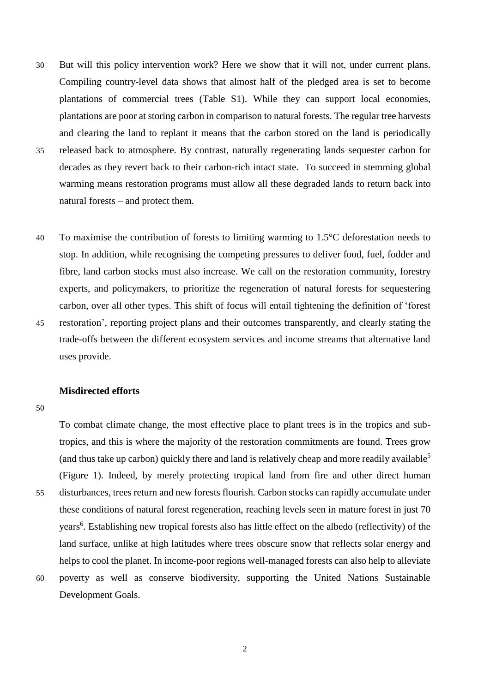- 30 But will this policy intervention work? Here we show that it will not, under current plans. Compiling country-level data shows that almost half of the pledged area is set to become plantations of commercial trees (Table S1). While they can support local economies, plantations are poor at storing carbon in comparison to natural forests. The regular tree harvests and clearing the land to replant it means that the carbon stored on the land is periodically 35 released back to atmosphere. By contrast, naturally regenerating lands sequester carbon for decades as they revert back to their carbon-rich intact state. To succeed in stemming global warming means restoration programs must allow all these degraded lands to return back into
	- natural forests and protect them.
- 40 To maximise the contribution of forests to limiting warming to  $1.5^{\circ}$ C deforestation needs to stop. In addition, while recognising the competing pressures to deliver food, fuel, fodder and fibre, land carbon stocks must also increase. We call on the restoration community, forestry experts, and policymakers, to prioritize the regeneration of natural forests for sequestering carbon, over all other types. This shift of focus will entail tightening the definition of 'forest 45 restoration', reporting project plans and their outcomes transparently, and clearly stating the trade-offs between the different ecosystem services and income streams that alternative land uses provide.

### **Misdirected efforts**

50

To combat climate change, the most effective place to plant trees is in the tropics and subtropics, and this is where the majority of the restoration commitments are found. Trees grow (and thus take up carbon) quickly there and land is relatively cheap and more readily available<sup>5</sup> (Figure 1). Indeed, by merely protecting tropical land from fire and other direct human 55 disturbances, trees return and new forests flourish. Carbon stocks can rapidly accumulate under these conditions of natural forest regeneration, reaching levels seen in mature forest in just 70 years<sup>6</sup>. Establishing new tropical forests also has little effect on the albedo (reflectivity) of the land surface, unlike at high latitudes where trees obscure snow that reflects solar energy and helps to cool the planet. In income-poor regions well-managed forests can also help to alleviate 60 poverty as well as conserve biodiversity, supporting the United Nations Sustainable Development Goals.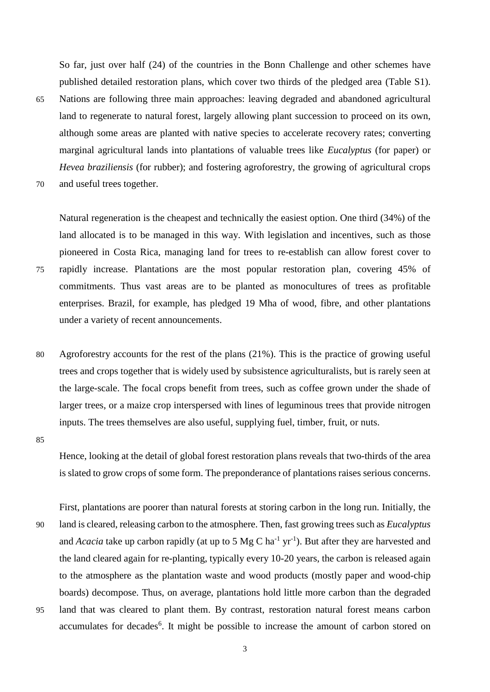So far, just over half (24) of the countries in the Bonn Challenge and other schemes have published detailed restoration plans, which cover two thirds of the pledged area (Table S1). 65 Nations are following three main approaches: leaving degraded and abandoned agricultural land to regenerate to natural forest, largely allowing plant succession to proceed on its own, although some areas are planted with native species to accelerate recovery rates; converting marginal agricultural lands into plantations of valuable trees like *Eucalyptus* (for paper) or *Hevea braziliensis* (for rubber); and fostering agroforestry, the growing of agricultural crops 70 and useful trees together.

Natural regeneration is the cheapest and technically the easiest option. One third (34%) of the land allocated is to be managed in this way. With legislation and incentives, such as those pioneered in Costa Rica, managing land for trees to re-establish can allow forest cover to 75 rapidly increase. Plantations are the most popular restoration plan, covering 45% of commitments. Thus vast areas are to be planted as monocultures of trees as profitable enterprises. Brazil, for example, has pledged 19 Mha of wood, fibre, and other plantations under a variety of recent announcements.

80 Agroforestry accounts for the rest of the plans (21%). This is the practice of growing useful trees and crops together that is widely used by subsistence agriculturalists, but is rarely seen at the large-scale. The focal crops benefit from trees, such as coffee grown under the shade of larger trees, or a maize crop interspersed with lines of leguminous trees that provide nitrogen inputs. The trees themselves are also useful, supplying fuel, timber, fruit, or nuts.

85

Hence, looking at the detail of global forest restoration plans reveals that two-thirds of the area is slated to grow crops of some form. The preponderance of plantations raises serious concerns.

First, plantations are poorer than natural forests at storing carbon in the long run. Initially, the 90 land is cleared, releasing carbon to the atmosphere. Then, fast growing trees such as *Eucalyptus* and *Acacia* take up carbon rapidly (at up to 5 Mg C ha<sup>-1</sup> yr<sup>-1</sup>). But after they are harvested and the land cleared again for re-planting, typically every 10-20 years, the carbon is released again to the atmosphere as the plantation waste and wood products (mostly paper and wood-chip boards) decompose. Thus, on average, plantations hold little more carbon than the degraded 95 land that was cleared to plant them. By contrast, restoration natural forest means carbon accumulates for decades<sup>6</sup>. It might be possible to increase the amount of carbon stored on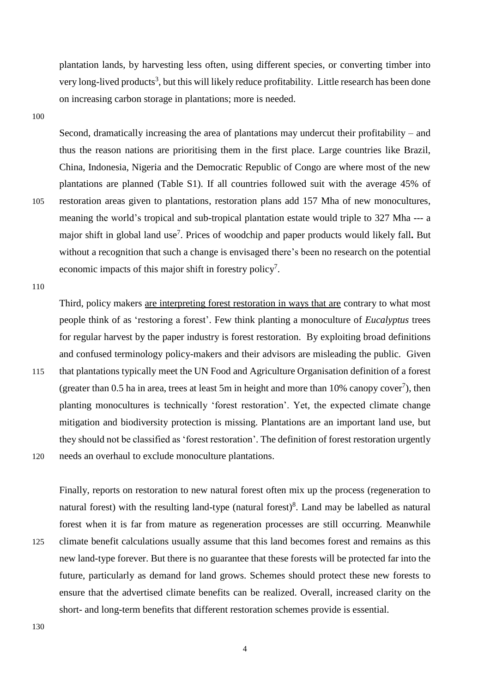plantation lands, by harvesting less often, using different species, or converting timber into very long-lived products<sup>3</sup>, but this will likely reduce profitability. Little research has been done on increasing carbon storage in plantations; more is needed.

100

Second, dramatically increasing the area of plantations may undercut their profitability – and thus the reason nations are prioritising them in the first place. Large countries like Brazil, China, Indonesia, Nigeria and the Democratic Republic of Congo are where most of the new plantations are planned (Table S1). If all countries followed suit with the average 45% of 105 restoration areas given to plantations, restoration plans add 157 Mha of new monocultures, meaning the world's tropical and sub-tropical plantation estate would triple to 327 Mha --- a major shift in global land use<sup>7</sup>. Prices of woodchip and paper products would likely fall. But without a recognition that such a change is envisaged there's been no research on the potential economic impacts of this major shift in forestry policy<sup>7</sup>.

110

Third, policy makers are interpreting forest restoration in ways that are contrary to what most people think of as 'restoring a forest'. Few think planting a monoculture of *Eucalyptus* trees for regular harvest by the paper industry is forest restoration. By exploiting broad definitions and confused terminology policy-makers and their advisors are misleading the public. Given 115 that plantations typically meet the UN Food and Agriculture Organisation definition of a forest (greater than 0.5 ha in area, trees at least 5m in height and more than 10% canopy cover<sup>7</sup>), then planting monocultures is technically 'forest restoration'. Yet, the expected climate change mitigation and biodiversity protection is missing. Plantations are an important land use, but they should not be classified as 'forest restoration'. The definition of forest restoration urgently

120 needs an overhaul to exclude monoculture plantations.

Finally, reports on restoration to new natural forest often mix up the process (regeneration to natural forest) with the resulting land-type (natural forest)<sup>8</sup>. Land may be labelled as natural forest when it is far from mature as regeneration processes are still occurring. Meanwhile 125 climate benefit calculations usually assume that this land becomes forest and remains as this new land-type forever. But there is no guarantee that these forests will be protected far into the future, particularly as demand for land grows. Schemes should protect these new forests to ensure that the advertised climate benefits can be realized. Overall, increased clarity on the short- and long-term benefits that different restoration schemes provide is essential.

130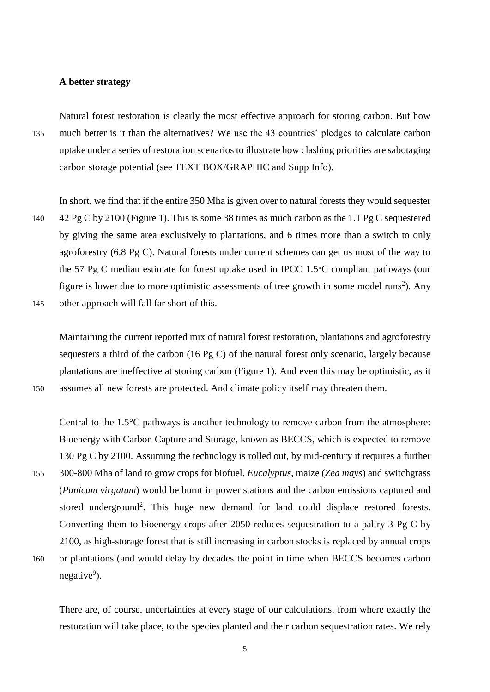## **A better strategy**

Natural forest restoration is clearly the most effective approach for storing carbon. But how 135 much better is it than the alternatives? We use the 43 countries' pledges to calculate carbon uptake under a series of restoration scenarios to illustrate how clashing priorities are sabotaging carbon storage potential (see TEXT BOX/GRAPHIC and Supp Info).

In short, we find that if the entire 350 Mha is given over to natural forests they would sequester 140 42 Pg C by 2100 (Figure 1). This is some 38 times as much carbon as the 1.1 Pg C sequestered by giving the same area exclusively to plantations, and 6 times more than a switch to only agroforestry (6.8 Pg C). Natural forests under current schemes can get us most of the way to the 57 Pg C median estimate for forest uptake used in IPCC 1.5°C compliant pathways (our figure is lower due to more optimistic assessments of tree growth in some model runs<sup>2</sup>). Any 145 other approach will fall far short of this.

Maintaining the current reported mix of natural forest restoration, plantations and agroforestry sequesters a third of the carbon (16 Pg C) of the natural forest only scenario, largely because plantations are ineffective at storing carbon (Figure 1). And even this may be optimistic, as it

150 assumes all new forests are protected. And climate policy itself may threaten them.

Central to the 1.5°C pathways is another technology to remove carbon from the atmosphere: Bioenergy with Carbon Capture and Storage, known as BECCS, which is expected to remove 130 Pg C by 2100. Assuming the technology is rolled out, by mid-century it requires a further 155 300-800 Mha of land to grow crops for biofuel. *Eucalyptus*, maize (*Zea mays*) and switchgrass (*Panicum virgatum*) would be burnt in power stations and the carbon emissions captured and stored underground<sup>2</sup>. This huge new demand for land could displace restored forests. Converting them to bioenergy crops after 2050 reduces sequestration to a paltry 3 Pg C by 2100, as high-storage forest that is still increasing in carbon stocks is replaced by annual crops 160 or plantations (and would delay by decades the point in time when BECCS becomes carbon negative<sup>9</sup>).

There are, of course, uncertainties at every stage of our calculations, from where exactly the restoration will take place, to the species planted and their carbon sequestration rates. We rely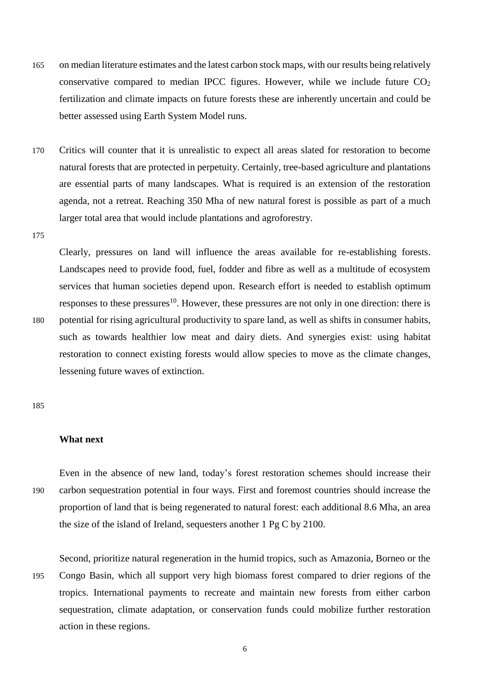- 165 on median literature estimates and the latest carbon stock maps, with our results being relatively conservative compared to median IPCC figures. However, while we include future  $CO<sub>2</sub>$ fertilization and climate impacts on future forests these are inherently uncertain and could be better assessed using Earth System Model runs.
- 170 Critics will counter that it is unrealistic to expect all areas slated for restoration to become natural forests that are protected in perpetuity. Certainly, tree-based agriculture and plantations are essential parts of many landscapes. What is required is an extension of the restoration agenda, not a retreat. Reaching 350 Mha of new natural forest is possible as part of a much larger total area that would include plantations and agroforestry.
- 175

Clearly, pressures on land will influence the areas available for re-establishing forests. Landscapes need to provide food, fuel, fodder and fibre as well as a multitude of ecosystem services that human societies depend upon. Research effort is needed to establish optimum responses to these pressures<sup>10</sup>. However, these pressures are not only in one direction: there is 180 potential for rising agricultural productivity to spare land, as well as shifts in consumer habits, such as towards healthier low meat and dairy diets. And synergies exist: using habitat restoration to connect existing forests would allow species to move as the climate changes, lessening future waves of extinction.

185

## **What next**

Even in the absence of new land, today's forest restoration schemes should increase their 190 carbon sequestration potential in four ways. First and foremost countries should increase the proportion of land that is being regenerated to natural forest: each additional 8.6 Mha, an area the size of the island of Ireland, sequesters another 1 Pg C by 2100.

Second, prioritize natural regeneration in the humid tropics, such as Amazonia, Borneo or the 195 Congo Basin, which all support very high biomass forest compared to drier regions of the tropics. International payments to recreate and maintain new forests from either carbon sequestration, climate adaptation, or conservation funds could mobilize further restoration action in these regions.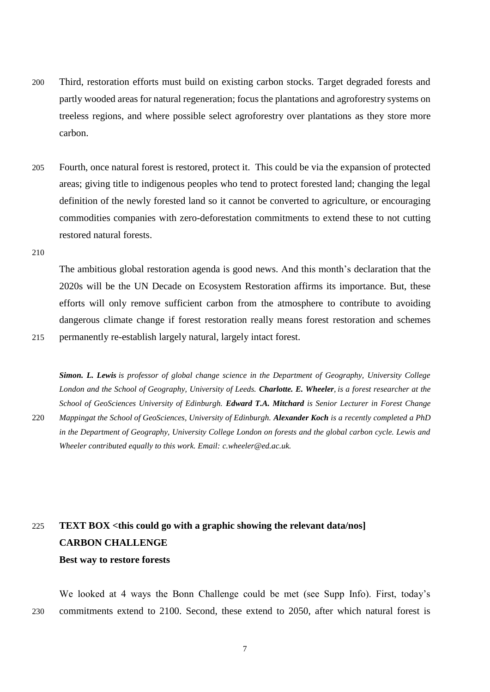- 200 Third, restoration efforts must build on existing carbon stocks. Target degraded forests and partly wooded areas for natural regeneration; focus the plantations and agroforestry systems on treeless regions, and where possible select agroforestry over plantations as they store more carbon.
- 205 Fourth, once natural forest is restored, protect it. This could be via the expansion of protected areas; giving title to indigenous peoples who tend to protect forested land; changing the legal definition of the newly forested land so it cannot be converted to agriculture, or encouraging commodities companies with zero-deforestation commitments to extend these to not cutting restored natural forests.
- 210

The ambitious global restoration agenda is good news. And this month's declaration that the 2020s will be the UN Decade on Ecosystem Restoration affirms its importance. But, these efforts will only remove sufficient carbon from the atmosphere to contribute to avoiding dangerous climate change if forest restoration really means forest restoration and schemes 215 permanently re-establish largely natural, largely intact forest.

*Simon. L. Lewis is professor of global change science in the Department of Geography, University College London and the School of Geography, University of Leeds. Charlotte. E. Wheeler, is a forest researcher at the School of GeoSciences University of Edinburgh. Edward T.A. Mitchard is Senior Lecturer in Forest Change*  220 *Mappingat the School of GeoSciences, University of Edinburgh. Alexander Koch is a recently completed a PhD in the Department of Geography, University College London on forests and the global carbon cycle. Lewis and Wheeler contributed equally to this work. Email: c.wheeler@ed.ac.uk.*

# 225 **TEXT BOX <this could go with a graphic showing the relevant data/nos] CARBON CHALLENGE Best way to restore forests**

We looked at 4 ways the Bonn Challenge could be met (see Supp Info). First, today's 230 commitments extend to 2100. Second, these extend to 2050, after which natural forest is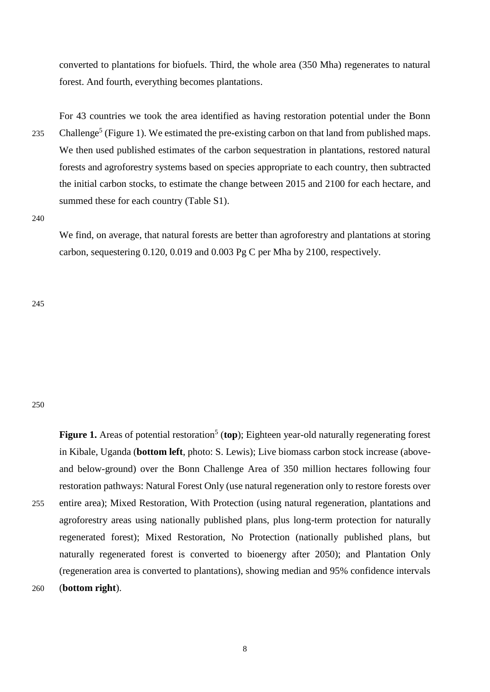converted to plantations for biofuels. Third, the whole area (350 Mha) regenerates to natural forest. And fourth, everything becomes plantations.

For 43 countries we took the area identified as having restoration potential under the Bonn 235 Challenge<sup>5</sup> (Figure 1). We estimated the pre-existing carbon on that land from published maps. We then used published estimates of the carbon sequestration in plantations, restored natural forests and agroforestry systems based on species appropriate to each country, then subtracted the initial carbon stocks, to estimate the change between 2015 and 2100 for each hectare, and summed these for each country (Table S1).

240

We find, on average, that natural forests are better than agroforestry and plantations at storing carbon, sequestering 0.120, 0.019 and 0.003 Pg C per Mha by 2100, respectively.

245

#### 250

Figure 1. Areas of potential restoration<sup>5</sup> (top); Eighteen year-old naturally regenerating forest in Kibale, Uganda (**bottom left**, photo: S. Lewis); Live biomass carbon stock increase (aboveand below-ground) over the Bonn Challenge Area of 350 million hectares following four restoration pathways: Natural Forest Only (use natural regeneration only to restore forests over 255 entire area); Mixed Restoration, With Protection (using natural regeneration, plantations and agroforestry areas using nationally published plans, plus long-term protection for naturally regenerated forest); Mixed Restoration, No Protection (nationally published plans, but naturally regenerated forest is converted to bioenergy after 2050); and Plantation Only (regeneration area is converted to plantations), showing median and 95% confidence intervals 260 (**bottom right**).